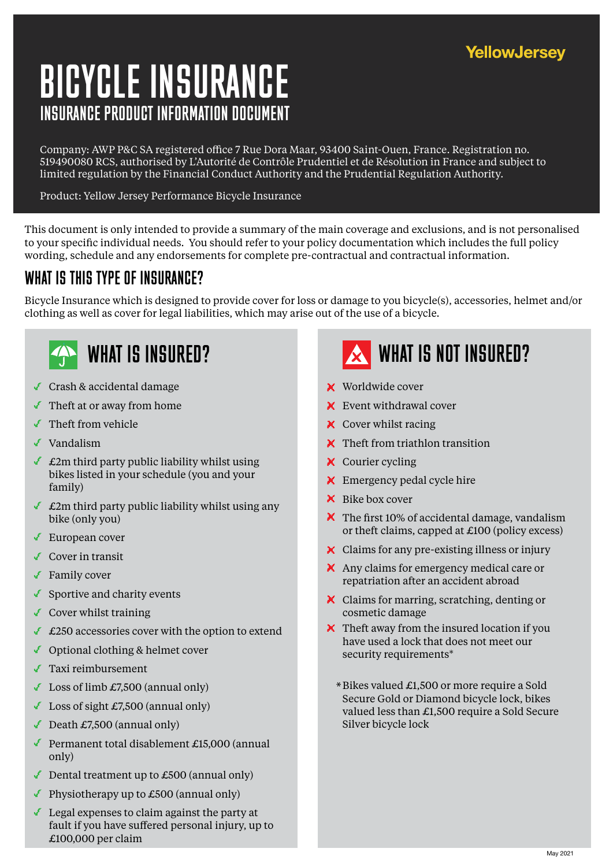### **YellowJersey**

# INSURANCE PRODUCT INFORMATION DOCUMENT BICYCLE INSURANCE

Company: AWP P&C SA registered office 7 Rue Dora Maar, 93400 Saint-Ouen, France. Registration no. 519490080 RCS, authorised by L'Autorité de Contrôle Prudentiel et de Résolution in France and subject to limited regulation by the Financial Conduct Authority and the Prudential Regulation Authority.

Product: Yellow Jersey Performance Bicycle Insurance

This document is only intended to provide a summary of the main coverage and exclusions, and is not personalised to your specific individual needs. You should refer to your policy documentation which includes the full policy wording, schedule and any endorsements for complete pre-contractual and contractual information.

### WHAT IS THIS TYPE OF INSURANCE?

Bicycle Insurance which is designed to provide cover for loss or damage to you bicycle(s), accessories, helmet and/or clothing as well as cover for legal liabilities, which may arise out of the use of a bicycle.



- Crash & accidental damage
- Theft at or away from home
- $\blacktriangleright$  Theft from vehicle
- ✔ Vandalism
- $\triangle$  £2m third party public liability whilst using bikes listed in your schedule (you and your family)
- $\triangle$  £2m third party public liability whilst using any bike (only you)
- European cover
- Cover in transit
- ◆ Family cover
- $\blacklozenge$  Sportive and charity events
- $\triangleleft$  Cover whilst training
- $\triangle$  £250 accessories cover with the option to extend
- ◆ Optional clothing & helmet cover
- Taxi reimbursement
- $\triangle$  Loss of limb £7,500 (annual only)
- $\triangle$  Loss of sight £7,500 (annual only)
- Death  $£7,500$  (annual only)
- Permanent total disablement £15,000 (annual only)
- Dental treatment up to £500 (annual only)
- Physiotherapy up to  $£500$  (annual only)
- Legal expenses to claim against the party at fault if you have suffered personal injury, up to £100,000 per claim



- Worldwide cover
- **X** Event withdrawal cover
- $\boldsymbol{\times}$  Cover whilst racing
- $\boldsymbol{\times}$  Theft from triathlon transition
- $\times$  Courier cycling
- **X** Emergency pedal cycle hire
- $\mathsf{\times}$  Bike box cover
- $\blacktriangleright$  The first 10% of accidental damage, vandalism or theft claims, capped at £100 (policy excess)
- Claims for any pre-existing illness or injury
- Any claims for emergency medical care or repatriation after an accident abroad
- Claims for marring, scratching, denting or cosmetic damage
- $\boldsymbol{\times}$  Theft away from the insured location if you have used a lock that does not meet our security requirements\*
	- Bikes valued £1,500 or more require a Sold \*Secure Gold or Diamond bicycle lock, bikes valued less than £1,500 require a Sold Secure Silver bicycle lock